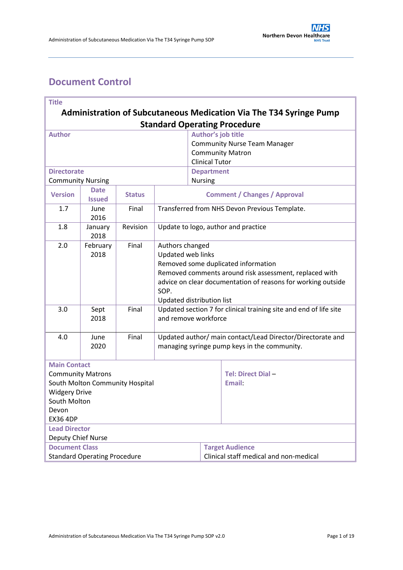# <span id="page-0-0"></span>**Document Control**

| <b>Title</b>                                                                  |                                                        |                                                              |                                                                                           |                                     |                                     |  |  |
|-------------------------------------------------------------------------------|--------------------------------------------------------|--------------------------------------------------------------|-------------------------------------------------------------------------------------------|-------------------------------------|-------------------------------------|--|--|
| <b>Administration of Subcutaneous Medication Via The T34 Syringe Pump</b>     |                                                        |                                                              |                                                                                           |                                     |                                     |  |  |
| <b>Standard Operating Procedure</b>                                           |                                                        |                                                              |                                                                                           |                                     |                                     |  |  |
| <b>Author</b>                                                                 |                                                        |                                                              |                                                                                           | Author's job title                  |                                     |  |  |
|                                                                               |                                                        |                                                              |                                                                                           | <b>Community Nurse Team Manager</b> |                                     |  |  |
|                                                                               |                                                        |                                                              |                                                                                           | <b>Community Matron</b>             |                                     |  |  |
|                                                                               |                                                        |                                                              |                                                                                           | <b>Clinical Tutor</b>               |                                     |  |  |
| <b>Directorate</b>                                                            |                                                        |                                                              |                                                                                           | <b>Department</b>                   |                                     |  |  |
| <b>Community Nursing</b>                                                      |                                                        |                                                              |                                                                                           | <b>Nursing</b>                      |                                     |  |  |
| <b>Date</b><br><b>Version</b><br><b>Status</b><br><b>Issued</b>               |                                                        |                                                              |                                                                                           | <b>Comment / Changes / Approval</b> |                                     |  |  |
| 1.7                                                                           | June<br>2016                                           | Final                                                        | Transferred from NHS Devon Previous Template.                                             |                                     |                                     |  |  |
| 1.8                                                                           | January<br>2018                                        | Revision                                                     | Update to logo, author and practice                                                       |                                     |                                     |  |  |
| 2.0                                                                           | February                                               | Final                                                        | Authors changed                                                                           |                                     |                                     |  |  |
|                                                                               | 2018<br>Updated web links                              |                                                              |                                                                                           |                                     |                                     |  |  |
|                                                                               |                                                        |                                                              |                                                                                           |                                     | Removed some duplicated information |  |  |
|                                                                               | Removed comments around risk assessment, replaced with |                                                              |                                                                                           |                                     |                                     |  |  |
|                                                                               |                                                        | advice on clear documentation of reasons for working outside |                                                                                           |                                     |                                     |  |  |
|                                                                               |                                                        |                                                              | SOP.                                                                                      |                                     |                                     |  |  |
|                                                                               |                                                        |                                                              | Updated distribution list                                                                 |                                     |                                     |  |  |
| 3.0                                                                           | Sept<br>2018                                           | Final                                                        | Updated section 7 for clinical training site and end of life site<br>and remove workforce |                                     |                                     |  |  |
|                                                                               |                                                        |                                                              |                                                                                           |                                     |                                     |  |  |
| 4.0                                                                           | June                                                   | Final                                                        | Updated author/ main contact/Lead Director/Directorate and                                |                                     |                                     |  |  |
|                                                                               | 2020                                                   |                                                              | managing syringe pump keys in the community.                                              |                                     |                                     |  |  |
|                                                                               |                                                        |                                                              |                                                                                           |                                     |                                     |  |  |
| <b>Main Contact</b>                                                           |                                                        |                                                              |                                                                                           |                                     |                                     |  |  |
| <b>Community Matrons</b>                                                      |                                                        |                                                              |                                                                                           |                                     | Tel: Direct Dial-                   |  |  |
| South Molton Community Hospital                                               |                                                        |                                                              |                                                                                           |                                     | Email:                              |  |  |
| <b>Widgery Drive</b>                                                          |                                                        |                                                              |                                                                                           |                                     |                                     |  |  |
| South Molton                                                                  |                                                        |                                                              |                                                                                           |                                     |                                     |  |  |
| Devon                                                                         |                                                        |                                                              |                                                                                           |                                     |                                     |  |  |
| <b>EX36 4DP</b>                                                               |                                                        |                                                              |                                                                                           |                                     |                                     |  |  |
| <b>Lead Director</b>                                                          |                                                        |                                                              |                                                                                           |                                     |                                     |  |  |
| Deputy Chief Nurse<br><b>Document Class</b><br><b>Target Audience</b>         |                                                        |                                                              |                                                                                           |                                     |                                     |  |  |
|                                                                               |                                                        |                                                              |                                                                                           |                                     |                                     |  |  |
| <b>Standard Operating Procedure</b><br>Clinical staff medical and non-medical |                                                        |                                                              |                                                                                           |                                     |                                     |  |  |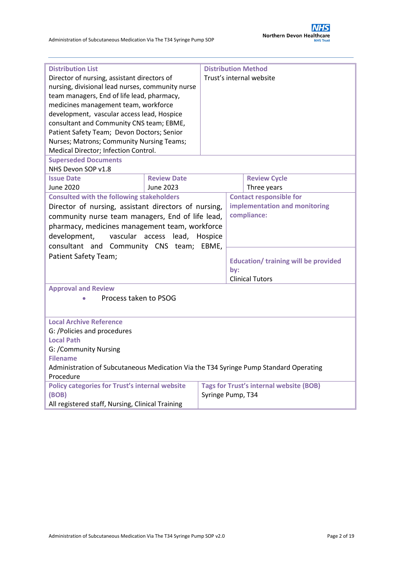| <b>Distribution List</b>                                                                           |                               |                          | <b>Distribution Method</b>                  |                                                |  |  |
|----------------------------------------------------------------------------------------------------|-------------------------------|--------------------------|---------------------------------------------|------------------------------------------------|--|--|
| Director of nursing, assistant directors of                                                        |                               | Trust's internal website |                                             |                                                |  |  |
| nursing, divisional lead nurses, community nurse                                                   |                               |                          |                                             |                                                |  |  |
| team managers, End of life lead, pharmacy,                                                         |                               |                          |                                             |                                                |  |  |
| medicines management team, workforce                                                               |                               |                          |                                             |                                                |  |  |
| development, vascular access lead, Hospice                                                         |                               |                          |                                             |                                                |  |  |
| consultant and Community CNS team; EBME,                                                           |                               |                          |                                             |                                                |  |  |
| Patient Safety Team; Devon Doctors; Senior                                                         |                               |                          |                                             |                                                |  |  |
| Nurses; Matrons; Community Nursing Teams;                                                          |                               |                          |                                             |                                                |  |  |
| Medical Director; Infection Control.                                                               |                               |                          |                                             |                                                |  |  |
| <b>Superseded Documents</b>                                                                        |                               |                          |                                             |                                                |  |  |
| NHS Devon SOP v1.8                                                                                 |                               |                          |                                             |                                                |  |  |
| <b>Issue Date</b>                                                                                  | <b>Review Date</b>            |                          | <b>Review Cycle</b>                         |                                                |  |  |
| <b>June 2020</b>                                                                                   | June 2023                     |                          | Three years                                 |                                                |  |  |
| <b>Consulted with the following stakeholders</b>                                                   |                               |                          | <b>Contact responsible for</b>              |                                                |  |  |
| Director of nursing, assistant directors of nursing,                                               |                               |                          | implementation and monitoring               |                                                |  |  |
| community nurse team managers, End of life lead,                                                   |                               |                          | compliance:                                 |                                                |  |  |
| pharmacy, medicines management team, workforce                                                     |                               |                          |                                             |                                                |  |  |
| development,                                                                                       | vascular access lead, Hospice |                          |                                             |                                                |  |  |
|                                                                                                    |                               | EBME,                    |                                             |                                                |  |  |
| consultant and Community CNS team;                                                                 |                               |                          |                                             |                                                |  |  |
| Patient Safety Team;                                                                               |                               |                          | <b>Education/ training will be provided</b> |                                                |  |  |
|                                                                                                    |                               | by:                      |                                             |                                                |  |  |
|                                                                                                    |                               |                          | <b>Clinical Tutors</b>                      |                                                |  |  |
| <b>Approval and Review</b>                                                                         |                               |                          |                                             |                                                |  |  |
| Process taken to PSOG                                                                              |                               |                          |                                             |                                                |  |  |
|                                                                                                    |                               |                          |                                             |                                                |  |  |
|                                                                                                    |                               |                          |                                             |                                                |  |  |
| <b>Local Archive Reference</b>                                                                     |                               |                          |                                             |                                                |  |  |
| G: /Policies and procedures                                                                        |                               |                          |                                             |                                                |  |  |
| <b>Local Path</b>                                                                                  |                               |                          |                                             |                                                |  |  |
| G: /Community Nursing<br><b>Filename</b>                                                           |                               |                          |                                             |                                                |  |  |
|                                                                                                    |                               |                          |                                             |                                                |  |  |
| Administration of Subcutaneous Medication Via the T34 Syringe Pump Standard Operating<br>Procedure |                               |                          |                                             |                                                |  |  |
| <b>Policy categories for Trust's internal website</b>                                              |                               |                          |                                             | <b>Tags for Trust's internal website (BOB)</b> |  |  |
| (BOB)                                                                                              |                               |                          | Syringe Pump, T34                           |                                                |  |  |
| All registered staff, Nursing, Clinical Training                                                   |                               |                          |                                             |                                                |  |  |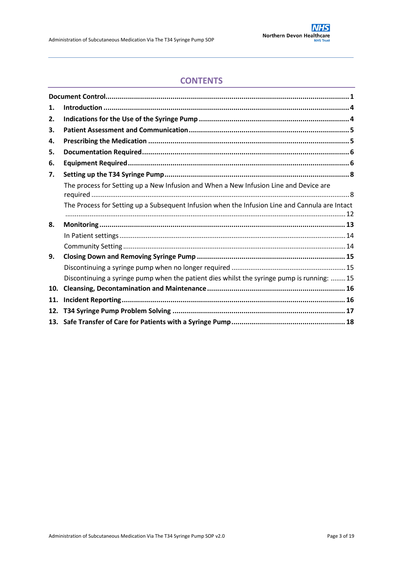## **CONTENTS**

| 1.  |                                                                                                |  |
|-----|------------------------------------------------------------------------------------------------|--|
| 2.  |                                                                                                |  |
| 3.  |                                                                                                |  |
| 4.  |                                                                                                |  |
| 5.  |                                                                                                |  |
| 6.  |                                                                                                |  |
| 7.  |                                                                                                |  |
|     | The process for Setting up a New Infusion and When a New Infusion Line and Device are          |  |
|     | The Process for Setting up a Subsequent Infusion when the Infusion Line and Cannula are Intact |  |
| 8.  |                                                                                                |  |
|     |                                                                                                |  |
|     |                                                                                                |  |
| 9.  |                                                                                                |  |
|     |                                                                                                |  |
|     | Discontinuing a syringe pump when the patient dies whilst the syringe pump is running: 15      |  |
| 10. |                                                                                                |  |
| 11. |                                                                                                |  |
| 12. |                                                                                                |  |
|     |                                                                                                |  |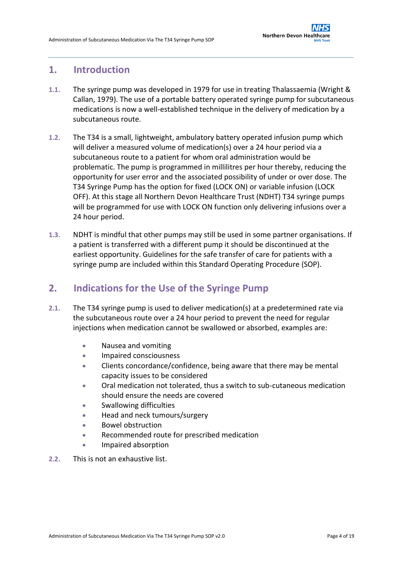### <span id="page-3-0"></span>**1. Introduction**

- **1.1.** The syringe pump was developed in 1979 for use in treating Thalassaemia (Wright & Callan, 1979). The use of a portable battery operated syringe pump for subcutaneous medications is now a well-established technique in the delivery of medication by a subcutaneous route.
- **1.2.** The T34 is a small, lightweight, ambulatory battery operated infusion pump which will deliver a measured volume of medication(s) over a 24 hour period via a subcutaneous route to a patient for whom oral administration would be problematic. The pump is programmed in millilitres per hour thereby, reducing the opportunity for user error and the associated possibility of under or over dose. The T34 Syringe Pump has the option for fixed (LOCK ON) or variable infusion (LOCK OFF). At this stage all Northern Devon Healthcare Trust (NDHT) T34 syringe pumps will be programmed for use with LOCK ON function only delivering infusions over a 24 hour period.
- **1.3.** NDHT is mindful that other pumps may still be used in some partner organisations. If a patient is transferred with a different pump it should be discontinued at the earliest opportunity. Guidelines for the safe transfer of care for patients with a syringe pump are included within this Standard Operating Procedure (SOP).

## <span id="page-3-1"></span>**2. Indications for the Use of the Syringe Pump**

- **2.1.** The T34 syringe pump is used to deliver medication(s) at a predetermined rate via the subcutaneous route over a 24 hour period to prevent the need for regular injections when medication cannot be swallowed or absorbed, examples are:
	- Nausea and vomiting
	- **Impaired consciousness**
	- Clients concordance/confidence, being aware that there may be mental capacity issues to be considered
	- Oral medication not tolerated, thus a switch to sub-cutaneous medication should ensure the needs are covered
	- Swallowing difficulties
	- Head and neck tumours/surgery
	- Bowel obstruction
	- Recommended route for prescribed medication
	- **•** Impaired absorption
- **2.2.** This is not an exhaustive list.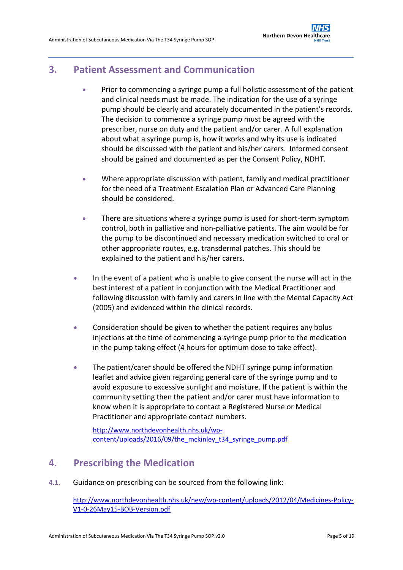## <span id="page-4-0"></span>**3. Patient Assessment and Communication**

- Prior to commencing a syringe pump a full holistic assessment of the patient and clinical needs must be made. The indication for the use of a syringe pump should be clearly and accurately documented in the patient's records. The decision to commence a syringe pump must be agreed with the prescriber, nurse on duty and the patient and/or carer. A full explanation about what a syringe pump is, how it works and why its use is indicated should be discussed with the patient and his/her carers. Informed consent should be gained and documented as per the Consent Policy, NDHT.
- Where appropriate discussion with patient, family and medical practitioner for the need of a Treatment Escalation Plan or Advanced Care Planning should be considered.
- There are situations where a syringe pump is used for short-term symptom control, both in palliative and non-palliative patients. The aim would be for the pump to be discontinued and necessary medication switched to oral or other appropriate routes, e.g. transdermal patches. This should be explained to the patient and his/her carers.
- In the event of a patient who is unable to give consent the nurse will act in the best interest of a patient in conjunction with the Medical Practitioner and following discussion with family and carers in line with the Mental Capacity Act (2005) and evidenced within the clinical records.
- Consideration should be given to whether the patient requires any bolus injections at the time of commencing a syringe pump prior to the medication in the pump taking effect (4 hours for optimum dose to take effect).
- The patient/carer should be offered the NDHT syringe pump information leaflet and advice given regarding general care of the syringe pump and to avoid exposure to excessive sunlight and moisture. If the patient is within the community setting then the patient and/or carer must have information to know when it is appropriate to contact a Registered Nurse or Medical Practitioner and appropriate contact numbers.

[http://www.northdevonhealth.nhs.uk/wp](http://www.northdevonhealth.nhs.uk/wp-content/uploads/2016/09/the_mckinley_t34_syringe_pump.pdf)[content/uploads/2016/09/the\\_mckinley\\_t34\\_syringe\\_pump.pdf](http://www.northdevonhealth.nhs.uk/wp-content/uploads/2016/09/the_mckinley_t34_syringe_pump.pdf)

## <span id="page-4-1"></span>**4. Prescribing the Medication**

**4.1.** Guidance on prescribing can be sourced from the following link:

[http://www.northdevonhealth.nhs.uk/new/wp-content/uploads/2012/04/Medicines-Policy-](http://www.northdevonhealth.nhs.uk/new/wp-content/uploads/2012/04/Medicines-Policy-V1-0-26May15-BOB-Version.pdf)[V1-0-26May15-BOB-Version.pdf](http://www.northdevonhealth.nhs.uk/new/wp-content/uploads/2012/04/Medicines-Policy-V1-0-26May15-BOB-Version.pdf)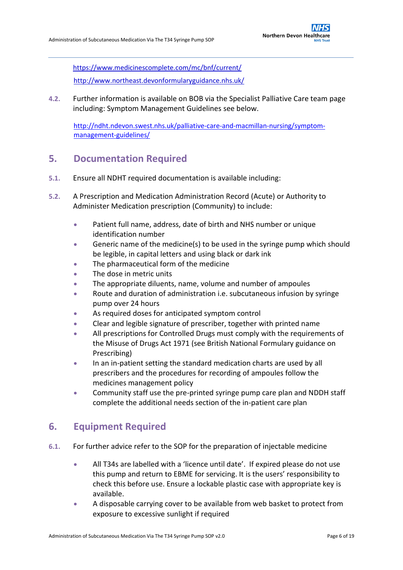<https://www.medicinescomplete.com/mc/bnf/current/> <http://www.northeast.devonformularyguidance.nhs.uk/>

**4.2.** Further information is available on BOB via the Specialist Palliative Care team page including: Symptom Management Guidelines see below.

[http://ndht.ndevon.swest.nhs.uk/palliative-care-and-macmillan-nursing/symptom](http://ndht.ndevon.swest.nhs.uk/palliative-care-and-macmillan-nursing/symptom-management-guidelines/)[management-guidelines/](http://ndht.ndevon.swest.nhs.uk/palliative-care-and-macmillan-nursing/symptom-management-guidelines/)

## <span id="page-5-0"></span>**5. Documentation Required**

- **5.1.** Ensure all NDHT required documentation is available including:
- **5.2.** A Prescription and Medication Administration Record (Acute) or Authority to Administer Medication prescription (Community) to include:
	- Patient full name, address, date of birth and NHS number or unique identification number
	- Generic name of the medicine(s) to be used in the syringe pump which should be legible, in capital letters and using black or dark ink
	- The pharmaceutical form of the medicine
	- The dose in metric units
	- The appropriate diluents, name, volume and number of ampoules
	- Route and duration of administration i.e. subcutaneous infusion by syringe pump over 24 hours
	- As required doses for anticipated symptom control
	- Clear and legible signature of prescriber, together with printed name
	- All prescriptions for Controlled Drugs must comply with the requirements of the Misuse of Drugs Act 1971 (see British National Formulary guidance on Prescribing)
	- In an in-patient setting the standard medication charts are used by all prescribers and the procedures for recording of ampoules follow the medicines management policy
	- Community staff use the pre-printed syringe pump care plan and NDDH staff complete the additional needs section of the in-patient care plan

## <span id="page-5-1"></span>**6. Equipment Required**

- **6.1.** For further advice refer to the SOP for the preparation of injectable medicine
	- All T34s are labelled with a 'licence until date'. If expired please do not use this pump and return to EBME for servicing. It is the users' responsibility to check this before use. Ensure a lockable plastic case with appropriate key is available.
	- A disposable carrying cover to be available from web basket to protect from exposure to excessive sunlight if required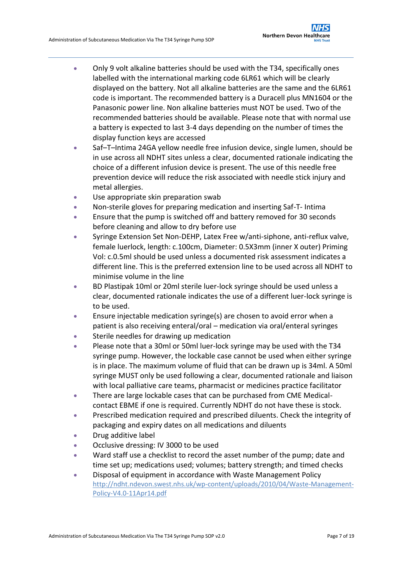- Only 9 volt alkaline batteries should be used with the T34, specifically ones labelled with the international marking code 6LR61 which will be clearly displayed on the battery. Not all alkaline batteries are the same and the 6LR61 code is important. The recommended battery is a Duracell plus MN1604 or the Panasonic power line. Non alkaline batteries must NOT be used. Two of the recommended batteries should be available. Please note that with normal use a battery is expected to last 3-4 days depending on the number of times the display function keys are accessed
- Saf–T–Intima 24GA yellow needle free infusion device, single lumen, should be in use across all NDHT sites unless a clear, documented rationale indicating the choice of a different infusion device is present. The use of this needle free prevention device will reduce the risk associated with needle stick injury and metal allergies.
- Use appropriate skin preparation swab
- Non-sterile gloves for preparing medication and inserting Saf-T- Intima
- Ensure that the pump is switched off and battery removed for 30 seconds before cleaning and allow to dry before use
- Syringe Extension Set Non-DEHP, Latex Free w/anti-siphone, anti-reflux valve, female luerlock, length: c.100cm, Diameter: 0.5X3mm (inner X outer) Priming Vol: c.0.5ml should be used unless a documented risk assessment indicates a different line. This is the preferred extension line to be used across all NDHT to minimise volume in the line
- BD Plastipak 10ml or 20ml sterile luer-lock syringe should be used unless a clear, documented rationale indicates the use of a different luer-lock syringe is to be used.
- Ensure injectable medication syringe(s) are chosen to avoid error when a patient is also receiving enteral/oral – medication via oral/enteral syringes
- Sterile needles for drawing up medication
- Please note that a 30ml or 50ml luer-lock syringe may be used with the T34 syringe pump. However, the lockable case cannot be used when either syringe is in place. The maximum volume of fluid that can be drawn up is 34ml. A 50ml syringe MUST only be used following a clear, documented rationale and liaison with local palliative care teams, pharmacist or medicines practice facilitator
- There are large lockable cases that can be purchased from CME Medicalcontact EBME if one is required. Currently NDHT do not have these is stock.
- Prescribed medication required and prescribed diluents. Check the integrity of packaging and expiry dates on all medications and diluents
- Drug additive label
- **•** Occlusive dressing: IV 3000 to be used
- Ward staff use a checklist to record the asset number of the pump; date and time set up; medications used; volumes; battery strength; and timed checks
- Disposal of equipment in accordance with Waste Management Policy [http://ndht.ndevon.swest.nhs.uk/wp-content/uploads/2010/04/Waste-Management-](http://ndht.ndevon.swest.nhs.uk/wp-content/uploads/2010/04/Waste-Management-Policy-V4.0-11Apr14.pdf)[Policy-V4.0-11Apr14.pdf](http://ndht.ndevon.swest.nhs.uk/wp-content/uploads/2010/04/Waste-Management-Policy-V4.0-11Apr14.pdf)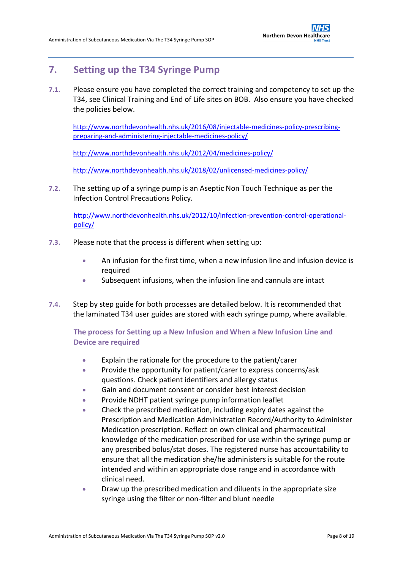## <span id="page-7-0"></span>**7. Setting up the T34 Syringe Pump**

**7.1.** Please ensure you have completed the correct training and competency to set up the T34, see Clinical Training and End of Life sites on BOB. Also ensure you have checked the policies below.

[http://www.northdevonhealth.nhs.uk/2016/08/injectable-medicines-policy-prescribing](http://www.northdevonhealth.nhs.uk/2016/08/injectable-medicines-policy-prescribing-preparing-and-administering-injectable-medicines-policy/)[preparing-and-administering-injectable-medicines-policy/](http://www.northdevonhealth.nhs.uk/2016/08/injectable-medicines-policy-prescribing-preparing-and-administering-injectable-medicines-policy/)

<http://www.northdevonhealth.nhs.uk/2012/04/medicines-policy/>

<http://www.northdevonhealth.nhs.uk/2018/02/unlicensed-medicines-policy/>

**7.2.** The setting up of a syringe pump is an Aseptic Non Touch Technique as per the Infection Control Precautions Policy.

[http://www.northdevonhealth.nhs.uk/2012/10/infection-prevention-control-operational](http://www.northdevonhealth.nhs.uk/2012/10/infection-prevention-control-operational-policy/)[policy/](http://www.northdevonhealth.nhs.uk/2012/10/infection-prevention-control-operational-policy/)

- **7.3.** Please note that the process is different when setting up:
	- An infusion for the first time, when a new infusion line and infusion device is required
	- Subsequent infusions, when the infusion line and cannula are intact
- **7.4.** Step by step guide for both processes are detailed below. It is recommended that the laminated T34 user guides are stored with each syringe pump, where available.

<span id="page-7-1"></span>**The process for Setting up a New Infusion and When a New Infusion Line and Device are required**

- Explain the rationale for the procedure to the patient/carer
- **•** Provide the opportunity for patient/carer to express concerns/ask questions. Check patient identifiers and allergy status
- Gain and document consent or consider best interest decision
- **•** Provide NDHT patient syringe pump information leaflet
- Check the prescribed medication, including expiry dates against the Prescription and Medication Administration Record/Authority to Administer Medication prescription. Reflect on own clinical and pharmaceutical knowledge of the medication prescribed for use within the syringe pump or any prescribed bolus/stat doses. The registered nurse has accountability to ensure that all the medication she/he administers is suitable for the route intended and within an appropriate dose range and in accordance with clinical need.
- Draw up the prescribed medication and diluents in the appropriate size syringe using the filter or non-filter and blunt needle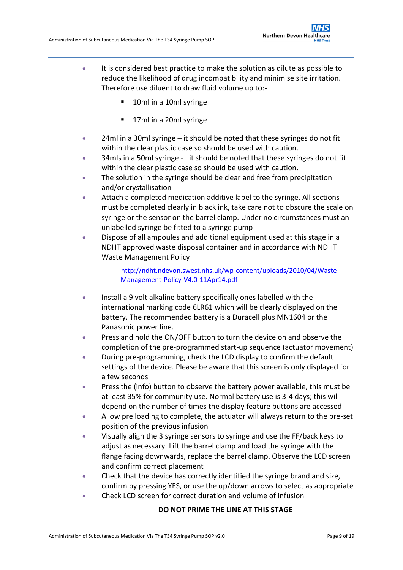- It is considered best practice to make the solution as dilute as possible to reduce the likelihood of drug incompatibility and minimise site irritation. Therefore use diluent to draw fluid volume up to:-
	- 10ml in a 10ml syringe
	- **17ml in a 20ml syringe**
- 24ml in a 30ml syringe it should be noted that these syringes do not fit within the clear plastic case so should be used with caution.
- 34mls in a 50ml syringe  $-$  it should be noted that these syringes do not fit within the clear plastic case so should be used with caution.
- The solution in the syringe should be clear and free from precipitation and/or crystallisation
- Attach a completed medication additive label to the syringe. All sections must be completed clearly in black ink, take care not to obscure the scale on syringe or the sensor on the barrel clamp. Under no circumstances must an unlabelled syringe be fitted to a syringe pump
- Dispose of all ampoules and additional equipment used at this stage in a NDHT approved waste disposal container and in accordance with NDHT Waste Management Policy

[http://ndht.ndevon.swest.nhs.uk/wp-content/uploads/2010/04/Waste-](http://ndht.ndevon.swest.nhs.uk/wp-content/uploads/2010/04/Waste-Management-Policy-V4.0-11Apr14.pdf)[Management-Policy-V4.0-11Apr14.pdf](http://ndht.ndevon.swest.nhs.uk/wp-content/uploads/2010/04/Waste-Management-Policy-V4.0-11Apr14.pdf)

- Install a 9 volt alkaline battery specifically ones labelled with the international marking code 6LR61 which will be clearly displayed on the battery. The recommended battery is a Duracell plus MN1604 or the Panasonic power line.
- **Press and hold the ON/OFF button to turn the device on and observe the** completion of the pre-programmed start-up sequence (actuator movement)
- During pre-programming, check the LCD display to confirm the default settings of the device. Please be aware that this screen is only displayed for a few seconds
- **Press the (info) button to observe the battery power available, this must be** at least 35% for community use. Normal battery use is 3-4 days; this will depend on the number of times the display feature buttons are accessed
- Allow pre loading to complete, the actuator will always return to the pre-set position of the previous infusion
- Visually align the 3 syringe sensors to syringe and use the FF/back keys to adjust as necessary. Lift the barrel clamp and load the syringe with the flange facing downwards, replace the barrel clamp. Observe the LCD screen and confirm correct placement
- Check that the device has correctly identified the syringe brand and size, confirm by pressing YES, or use the up/down arrows to select as appropriate
- Check LCD screen for correct duration and volume of infusion

#### **DO NOT PRIME THE LINE AT THIS STAGE**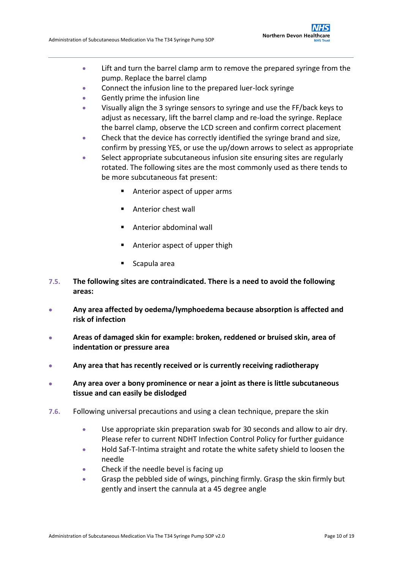- Lift and turn the barrel clamp arm to remove the prepared syringe from the pump. Replace the barrel clamp
- Connect the infusion line to the prepared luer-lock syringe
- Gently prime the infusion line
- Visually align the 3 syringe sensors to syringe and use the FF/back keys to adjust as necessary, lift the barrel clamp and re-load the syringe. Replace the barrel clamp, observe the LCD screen and confirm correct placement
- Check that the device has correctly identified the syringe brand and size, confirm by pressing YES, or use the up/down arrows to select as appropriate
- Select appropriate subcutaneous infusion site ensuring sites are regularly rotated. The following sites are the most commonly used as there tends to be more subcutaneous fat present:
	- Anterior aspect of upper arms
	- **Anterior chest wall**
	- **Anterior abdominal wall**
	- Anterior aspect of upper thigh
	- Scapula area
- **7.5. The following sites are contraindicated. There is a need to avoid the following areas:**
- **Any area affected by oedema/lymphoedema because absorption is affected and risk of infection**
- **Areas of damaged skin for example: broken, reddened or bruised skin, area of indentation or pressure area**
- **Any area that has recently received or is currently receiving radiotherapy**
- **Any area over a bony prominence or near a joint as there is little subcutaneous tissue and can easily be dislodged**
- **7.6.** Following universal precautions and using a clean technique, prepare the skin
	- Use appropriate skin preparation swab for 30 seconds and allow to air dry. Please refer to current NDHT Infection Control Policy for further guidance
	- Hold Saf-T-Intima straight and rotate the white safety shield to loosen the needle
	- Check if the needle bevel is facing up
	- Grasp the pebbled side of wings, pinching firmly. Grasp the skin firmly but gently and insert the cannula at a 45 degree angle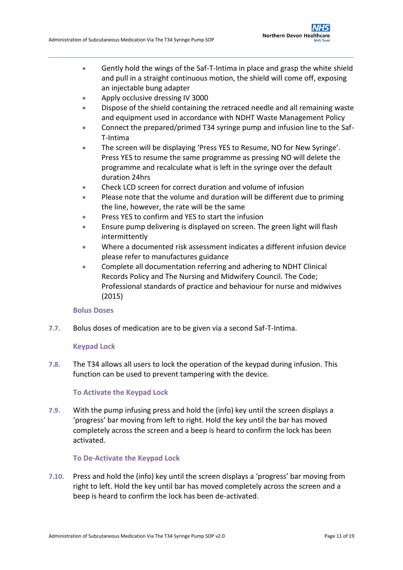- Gently hold the wings of the Saf-T-Intima in place and grasp the white shield and pull in a straight continuous motion, the shield will come off, exposing an injectable bung adapter
- Apply occlusive dressing IV 3000
- Dispose of the shield containing the retraced needle and all remaining waste and equipment used in accordance with NDHT Waste Management Policy
- Connect the prepared/primed T34 syringe pump and infusion line to the Saf-T-Intima
- The screen will be displaying 'Press YES to Resume, NO for New Syringe'. Press YES to resume the same programme as pressing NO will delete the programme and recalculate what is left in the syringe over the default duration 24hrs
- Check LCD screen for correct duration and volume of infusion
- Please note that the volume and duration will be different due to priming the line, however, the rate will be the same
- Press YES to confirm and YES to start the infusion
- **Ensure pump delivering is displayed on screen. The green light will flash** intermittently
- Where a documented risk assessment indicates a different infusion device please refer to manufactures guidance
- Complete all documentation referring and adhering to NDHT Clinical Records Policy and The Nursing and Midwifery Council. The Code; Professional standards of practice and behaviour for nurse and midwives (2015)

### **Bolus Doses**

**7.7.** Bolus doses of medication are to be given via a second Saf-T-Intima.

### **Keypad Lock**

**7.8.** The T34 allows all users to lock the operation of the keypad during infusion. This function can be used to prevent tampering with the device.

### **To Activate the Keypad Lock**

**7.9.** With the pump infusing press and hold the (info) key until the screen displays a 'progress' bar moving from left to right. Hold the key until the bar has moved completely across the screen and a beep is heard to confirm the lock has been activated.

#### **To De-Activate the Keypad Lock**

**7.10.** Press and hold the (info) key until the screen displays a 'progress' bar moving from right to left. Hold the key until bar has moved completely across the screen and a beep is heard to confirm the lock has been de-activated.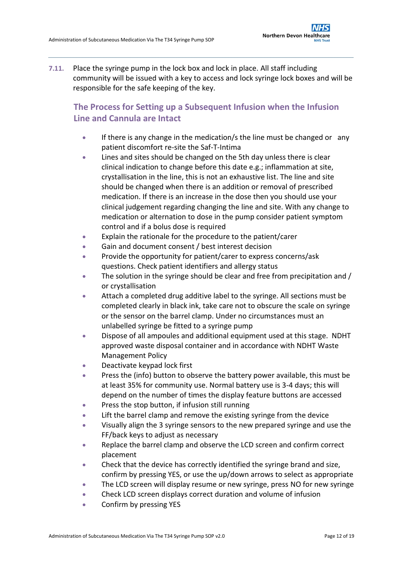**7.11.** Place the syringe pump in the lock box and lock in place. All staff including community will be issued with a key to access and lock syringe lock boxes and will be responsible for the safe keeping of the key.

## <span id="page-11-0"></span>**The Process for Setting up a Subsequent Infusion when the Infusion Line and Cannula are Intact**

- **If there is any change in the medication/s the line must be changed or any** patient discomfort re-site the Saf-T-Intima
- Lines and sites should be changed on the 5th day unless there is clear clinical indication to change before this date e.g.; inflammation at site, crystallisation in the line, this is not an exhaustive list. The line and site should be changed when there is an addition or removal of prescribed medication. If there is an increase in the dose then you should use your clinical judgement regarding changing the line and site. With any change to medication or alternation to dose in the pump consider patient symptom control and if a bolus dose is required
- Explain the rationale for the procedure to the patient/carer
- Gain and document consent / best interest decision
- **•** Provide the opportunity for patient/carer to express concerns/ask questions. Check patient identifiers and allergy status
- The solution in the syringe should be clear and free from precipitation and / or crystallisation
- Attach a completed drug additive label to the syringe. All sections must be completed clearly in black ink, take care not to obscure the scale on syringe or the sensor on the barrel clamp. Under no circumstances must an unlabelled syringe be fitted to a syringe pump
- Dispose of all ampoules and additional equipment used at this stage. NDHT approved waste disposal container and in accordance with NDHT Waste Management Policy
- Deactivate keypad lock first
- Press the (info) button to observe the battery power available, this must be at least 35% for community use. Normal battery use is 3-4 days; this will depend on the number of times the display feature buttons are accessed
- **•** Press the stop button, if infusion still running
- Lift the barrel clamp and remove the existing syringe from the device
- Visually align the 3 syringe sensors to the new prepared syringe and use the FF/back keys to adjust as necessary
- Replace the barrel clamp and observe the LCD screen and confirm correct placement
- Check that the device has correctly identified the syringe brand and size, confirm by pressing YES, or use the up/down arrows to select as appropriate
- The LCD screen will display resume or new syringe, press NO for new syringe
- Check LCD screen displays correct duration and volume of infusion
- Confirm by pressing YES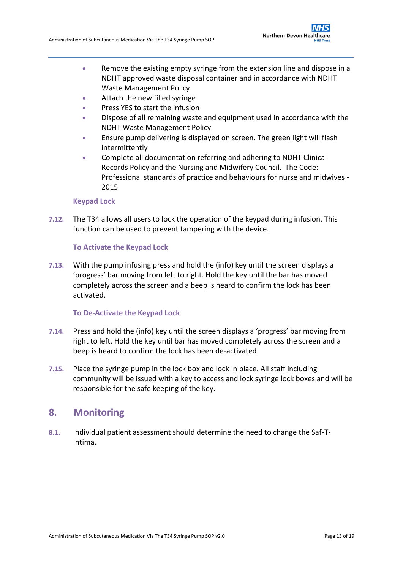- Remove the existing empty syringe from the extension line and dispose in a NDHT approved waste disposal container and in accordance with NDHT Waste Management Policy
- Attach the new filled syringe
- Press YES to start the infusion
- Dispose of all remaining waste and equipment used in accordance with the NDHT Waste Management Policy
- **Ensure pump delivering is displayed on screen. The green light will flash** intermittently
- Complete all documentation referring and adhering to NDHT Clinical Records Policy and the Nursing and Midwifery Council. The Code: Professional standards of practice and behaviours for nurse and midwives - 2015

### **Keypad Lock**

**7.12.** The T34 allows all users to lock the operation of the keypad during infusion. This function can be used to prevent tampering with the device.

### **To Activate the Keypad Lock**

**7.13.** With the pump infusing press and hold the (info) key until the screen displays a 'progress' bar moving from left to right. Hold the key until the bar has moved completely across the screen and a beep is heard to confirm the lock has been activated.

#### **To De-Activate the Keypad Lock**

- **7.14.** Press and hold the (info) key until the screen displays a 'progress' bar moving from right to left. Hold the key until bar has moved completely across the screen and a beep is heard to confirm the lock has been de-activated.
- **7.15.** Place the syringe pump in the lock box and lock in place. All staff including community will be issued with a key to access and lock syringe lock boxes and will be responsible for the safe keeping of the key.

### <span id="page-12-0"></span>**8. Monitoring**

**8.1.** Individual patient assessment should determine the need to change the Saf-T-Intima.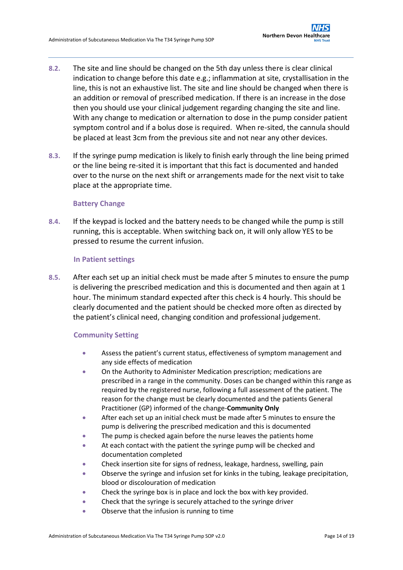- **8.2.** The site and line should be changed on the 5th day unless there is clear clinical indication to change before this date e.g.; inflammation at site, crystallisation in the line, this is not an exhaustive list. The site and line should be changed when there is an addition or removal of prescribed medication. If there is an increase in the dose then you should use your clinical judgement regarding changing the site and line. With any change to medication or alternation to dose in the pump consider patient symptom control and if a bolus dose is required. When re-sited, the cannula should be placed at least 3cm from the previous site and not near any other devices.
- **8.3.** If the syringe pump medication is likely to finish early through the line being primed or the line being re-sited it is important that this fact is documented and handed over to the nurse on the next shift or arrangements made for the next visit to take place at the appropriate time.

### **Battery Change**

**8.4.** If the keypad is locked and the battery needs to be changed while the pump is still running, this is acceptable. When switching back on, it will only allow YES to be pressed to resume the current infusion.

### **In Patient settings**

<span id="page-13-0"></span>**8.5.** After each set up an initial check must be made after 5 minutes to ensure the pump is delivering the prescribed medication and this is documented and then again at 1 hour. The minimum standard expected after this check is 4 hourly. This should be clearly documented and the patient should be checked more often as directed by the patient's clinical need, changing condition and professional judgement.

### <span id="page-13-1"></span>**Community Setting**

- Assess the patient's current status, effectiveness of symptom management and any side effects of medication
- On the Authority to Administer Medication prescription; medications are prescribed in a range in the community. Doses can be changed within this range as required by the registered nurse, following a full assessment of the patient. The reason for the change must be clearly documented and the patients General Practitioner (GP) informed of the change-**Community Only**
- After each set up an initial check must be made after 5 minutes to ensure the pump is delivering the prescribed medication and this is documented
- The pump is checked again before the nurse leaves the patients home
- At each contact with the patient the syringe pump will be checked and documentation completed
- Check insertion site for signs of redness, leakage, hardness, swelling, pain
- Observe the syringe and infusion set for kinks in the tubing, leakage precipitation, blood or discolouration of medication
- Check the syringe box is in place and lock the box with key provided.
- Check that the syringe is securely attached to the syringe driver
- Observe that the infusion is running to time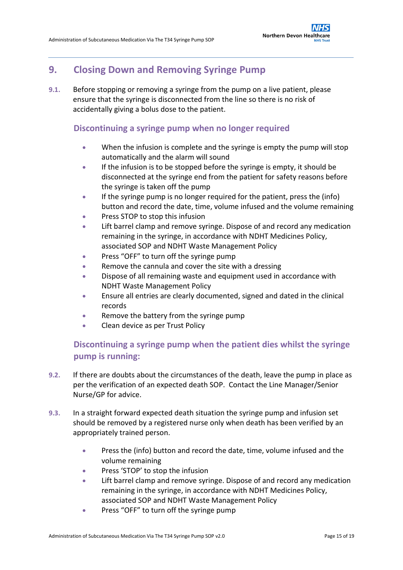## <span id="page-14-0"></span>**9. Closing Down and Removing Syringe Pump**

**9.1.** Before stopping or removing a syringe from the pump on a live patient, please ensure that the syringe is disconnected from the line so there is no risk of accidentally giving a bolus dose to the patient.

### <span id="page-14-1"></span>**Discontinuing a syringe pump when no longer required**

- When the infusion is complete and the syringe is empty the pump will stop automatically and the alarm will sound
- If the infusion is to be stopped before the syringe is empty, it should be disconnected at the syringe end from the patient for safety reasons before the syringe is taken off the pump
- If the syringe pump is no longer required for the patient, press the (info) button and record the date, time, volume infused and the volume remaining
- Press STOP to stop this infusion
- Lift barrel clamp and remove syringe. Dispose of and record any medication remaining in the syringe, in accordance with NDHT Medicines Policy, associated SOP and NDHT Waste Management Policy
- **•** Press "OFF" to turn off the syringe pump
- Remove the cannula and cover the site with a dressing
- Dispose of all remaining waste and equipment used in accordance with NDHT Waste Management Policy
- Ensure all entries are clearly documented, signed and dated in the clinical records
- Remove the battery from the syringe pump
- Clean device as per Trust Policy

## <span id="page-14-2"></span>**Discontinuing a syringe pump when the patient dies whilst the syringe pump is running:**

- **9.2.** If there are doubts about the circumstances of the death, leave the pump in place as per the verification of an expected death SOP. Contact the Line Manager/Senior Nurse/GP for advice.
- **9.3.** In a straight forward expected death situation the syringe pump and infusion set should be removed by a registered nurse only when death has been verified by an appropriately trained person.
	- Press the (info) button and record the date, time, volume infused and the volume remaining
	- **•** Press 'STOP' to stop the infusion
	- Lift barrel clamp and remove syringe. Dispose of and record any medication remaining in the syringe, in accordance with NDHT Medicines Policy, associated SOP and NDHT Waste Management Policy
	- **•** Press "OFF" to turn off the syringe pump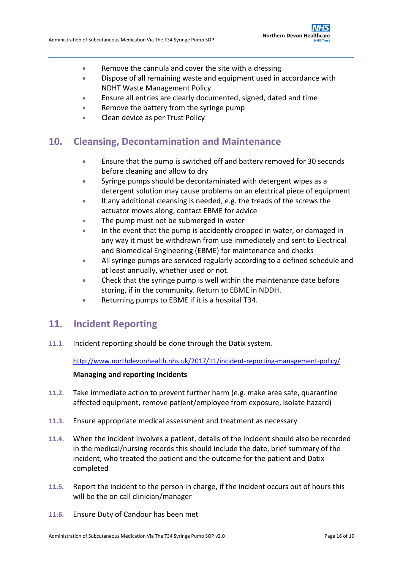- Remove the cannula and cover the site with a dressing
- Dispose of all remaining waste and equipment used in accordance with NDHT Waste Management Policy
- Ensure all entries are clearly documented, signed, dated and time
- Remove the battery from the syringe pump
- Clean device as per Trust Policy

## <span id="page-15-0"></span>**10. Cleansing, Decontamination and Maintenance**

- Ensure that the pump is switched off and battery removed for 30 seconds before cleaning and allow to dry
- Syringe pumps should be decontaminated with detergent wipes as a detergent solution may cause problems on an electrical piece of equipment
- If any additional cleansing is needed, e.g. the treads of the screws the actuator moves along, contact EBME for advice
- The pump must not be submerged in water
- In the event that the pump is accidently dropped in water, or damaged in any way it must be withdrawn from use immediately and sent to Electrical and Biomedical Engineering (EBME) for maintenance and checks
- All syringe pumps are serviced regularly according to a defined schedule and at least annually, whether used or not.
- Check that the syringe pump is well within the maintenance date before storing, if in the community. Return to EBME in NDDH.
- Returning pumps to EBME if it is a hospital T34.

## <span id="page-15-1"></span>**11. Incident Reporting**

**11.1.** Incident reporting should be done through the Datix system.

<http://www.northdevonhealth.nhs.uk/2017/11/incident-reporting-management-policy/>

### **Managing and reporting Incidents**

- **11.2.** Take immediate action to prevent further harm (e.g. make area safe, quarantine affected equipment, remove patient/employee from exposure, isolate hazard)
- **11.3.** Ensure appropriate medical assessment and treatment as necessary
- **11.4.** When the incident involves a patient, details of the incident should also be recorded in the medical/nursing records this should include the date, brief summary of the incident, who treated the patient and the outcome for the patient and Datix completed
- **11.5.** Report the incident to the person in charge, if the incident occurs out of hours this will be the on call clinician/manager
- **11.6.** Ensure Duty of Candour has been met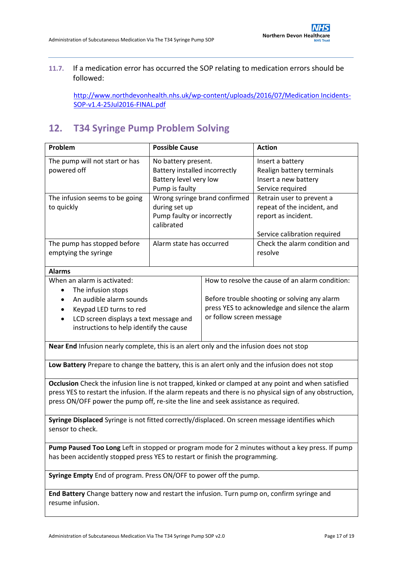### **11.7.** If a medication error has occurred the SOP relating to medication errors should be followed:

[http://www.northdevonhealth.nhs.uk/wp-content/uploads/2016/07/Medication Incidents-](http://www.northdevonhealth.nhs.uk/wp-content/uploads/2016/07/Medication%20Incidents-SOP-v1.4-25Jul2016-FINAL.pdf)[SOP-v1.4-25Jul2016-FINAL.pdf](http://www.northdevonhealth.nhs.uk/wp-content/uploads/2016/07/Medication%20Incidents-SOP-v1.4-25Jul2016-FINAL.pdf)

## <span id="page-16-0"></span>**12. T34 Syringe Pump Problem Solving**

| Problem                                                                                                                                                                                                                                                                                                | <b>Possible Cause</b>                                                                            |                                                                                                                                                                               | <b>Action</b>                                                                                                   |  |  |
|--------------------------------------------------------------------------------------------------------------------------------------------------------------------------------------------------------------------------------------------------------------------------------------------------------|--------------------------------------------------------------------------------------------------|-------------------------------------------------------------------------------------------------------------------------------------------------------------------------------|-----------------------------------------------------------------------------------------------------------------|--|--|
| The pump will not start or has<br>powered off                                                                                                                                                                                                                                                          | No battery present.<br>Battery installed incorrectly<br>Battery level very low<br>Pump is faulty |                                                                                                                                                                               | Insert a battery<br>Realign battery terminals<br>Insert a new battery<br>Service required                       |  |  |
| The infusion seems to be going<br>to quickly                                                                                                                                                                                                                                                           | Wrong syringe brand confirmed<br>during set up<br>Pump faulty or incorrectly<br>calibrated       |                                                                                                                                                                               | Retrain user to prevent a<br>repeat of the incident, and<br>report as incident.<br>Service calibration required |  |  |
| The pump has stopped before<br>emptying the syringe                                                                                                                                                                                                                                                    | Alarm state has occurred                                                                         |                                                                                                                                                                               | Check the alarm condition and<br>resolve                                                                        |  |  |
| <b>Alarms</b>                                                                                                                                                                                                                                                                                          |                                                                                                  |                                                                                                                                                                               |                                                                                                                 |  |  |
| When an alarm is activated:<br>The infusion stops<br>$\bullet$<br>An audible alarm sounds<br>$\bullet$<br>Keypad LED turns to red<br>٠<br>LCD screen displays a text message and<br>instructions to help identify the cause                                                                            |                                                                                                  | How to resolve the cause of an alarm condition:<br>Before trouble shooting or solving any alarm<br>press YES to acknowledge and silence the alarm<br>or follow screen message |                                                                                                                 |  |  |
| Near End Infusion nearly complete, this is an alert only and the infusion does not stop                                                                                                                                                                                                                |                                                                                                  |                                                                                                                                                                               |                                                                                                                 |  |  |
| Low Battery Prepare to change the battery, this is an alert only and the infusion does not stop                                                                                                                                                                                                        |                                                                                                  |                                                                                                                                                                               |                                                                                                                 |  |  |
| Occlusion Check the infusion line is not trapped, kinked or clamped at any point and when satisfied<br>press YES to restart the infusion. If the alarm repeats and there is no physical sign of any obstruction,<br>press ON/OFF power the pump off, re-site the line and seek assistance as required. |                                                                                                  |                                                                                                                                                                               |                                                                                                                 |  |  |
| Syringe Displaced Syringe is not fitted correctly/displaced. On screen message identifies which<br>sensor to check.                                                                                                                                                                                    |                                                                                                  |                                                                                                                                                                               |                                                                                                                 |  |  |
| Pump Paused Too Long Left in stopped or program mode for 2 minutes without a key press. If pump<br>has been accidently stopped press YES to restart or finish the programming.                                                                                                                         |                                                                                                  |                                                                                                                                                                               |                                                                                                                 |  |  |
| Syringe Empty End of program. Press ON/OFF to power off the pump.                                                                                                                                                                                                                                      |                                                                                                  |                                                                                                                                                                               |                                                                                                                 |  |  |
| End Battery Change battery now and restart the infusion. Turn pump on, confirm syringe and<br>resume infusion.                                                                                                                                                                                         |                                                                                                  |                                                                                                                                                                               |                                                                                                                 |  |  |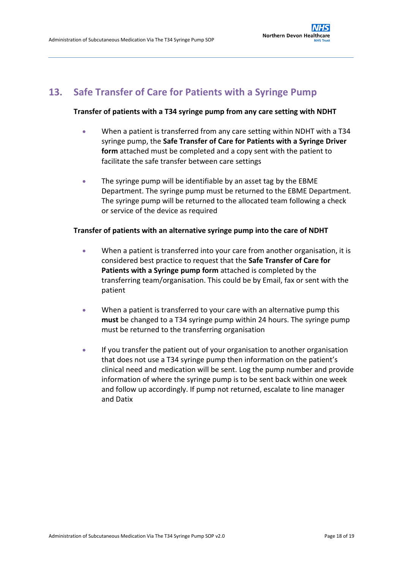## <span id="page-17-0"></span>**13. Safe Transfer of Care for Patients with a Syringe Pump**

### **Transfer of patients with a T34 syringe pump from any care setting with NDHT**

- When a patient is transferred from any care setting within NDHT with a T34 syringe pump, the **Safe Transfer of Care for Patients with a Syringe Driver form** attached must be completed and a copy sent with the patient to facilitate the safe transfer between care settings
- The syringe pump will be identifiable by an asset tag by the EBME Department. The syringe pump must be returned to the EBME Department. The syringe pump will be returned to the allocated team following a check or service of the device as required

### **Transfer of patients with an alternative syringe pump into the care of NDHT**

- When a patient is transferred into your care from another organisation, it is considered best practice to request that the **Safe Transfer of Care for Patients with a Syringe pump form** attached is completed by the transferring team/organisation. This could be by Email, fax or sent with the patient
- When a patient is transferred to your care with an alternative pump this **must** be changed to a T34 syringe pump within 24 hours. The syringe pump must be returned to the transferring organisation
- If you transfer the patient out of your organisation to another organisation that does not use a T34 syringe pump then information on the patient's clinical need and medication will be sent. Log the pump number and provide information of where the syringe pump is to be sent back within one week and follow up accordingly. If pump not returned, escalate to line manager and Datix